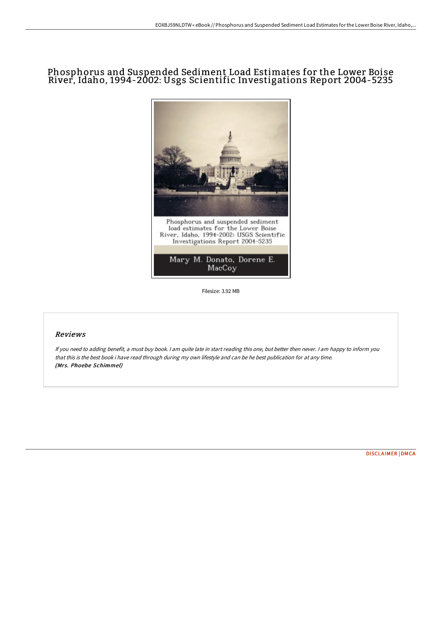## Phosphorus and Suspended Sediment Load Estimates for the Lower Boise River, Idaho, 1994-2002: Usgs Scientific Investigations Report 2004-5235



Filesize: 3.92 MB

## Reviews

If you need to adding benefit, <sup>a</sup> must buy book. <sup>I</sup> am quite late in start reading this one, but better then never. <sup>I</sup> am happy to inform you that this is the best book i have read through during my own lifestyle and can be he best publication for at any time. (Mrs. Phoebe Schimmel)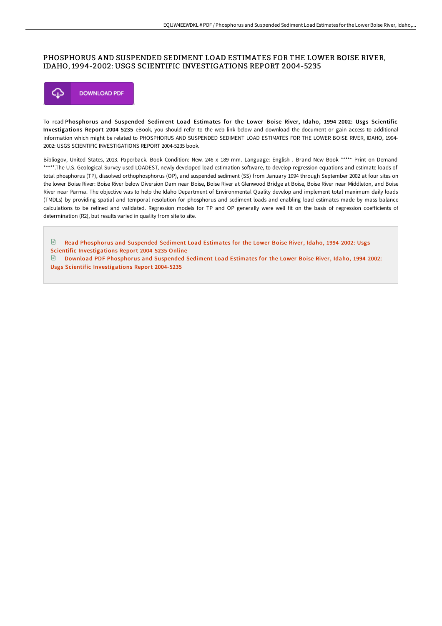## PHOSPHORUS AND SUSPENDED SEDIMENT LOAD ESTIMATES FOR THE LOWER BOISE RIVER, IDAHO, 1994-2002: USGS SCIENTIFIC INVESTIGATIONS REPORT 2004-5235



To read Phosphorus and Suspended Sediment Load Estimates for the Lower Boise River, Idaho, 1994-2002: Usgs Scientific Investigations Report 2004-5235 eBook, you should refer to the web link below and download the document or gain access to additional information which might be related to PHOSPHORUS AND SUSPENDED SEDIMENT LOAD ESTIMATES FOR THE LOWER BOISE RIVER, IDAHO, 1994- 2002: USGS SCIENTIFIC INVESTIGATIONS REPORT 2004-5235 book.

Bibliogov, United States, 2013. Paperback. Book Condition: New. 246 x 189 mm. Language: English . Brand New Book \*\*\*\*\* Print on Demand \*\*\*\*\*.The U.S. Geological Survey used LOADEST, newly developed load estimation software, to develop regression equations and estimate loads of total phosphorus (TP), dissolved orthophosphorus (OP), and suspended sediment (SS) from January 1994 through September 2002 at four sites on the lower Boise River: Boise River below Diversion Dam near Boise, Boise River at Glenwood Bridge at Boise, Boise River near Middleton, and Boise River near Parma. The objective was to help the Idaho Department of Environmental Quality develop and implement total maximum daily loads (TMDLs) by providing spatial and temporal resolution for phosphorus and sediment loads and enabling load estimates made by mass balance calculations to be refined and validated. Regression models for TP and OP generally were well fit on the basis of regression coefficients of determination (R2), but results varied in quality from site to site.

 $\mathbf{F}$ Read Phosphorus and Suspended Sediment Load Estimates for the Lower Boise River, Idaho, 1994-2002: Usgs Scientific [Investigations](http://digilib.live/phosphorus-and-suspended-sediment-load-estimates.html) Report 2004-5235 Online

Download PDF Phosphorus and Suspended Sediment Load Estimates for the Lower Boise River, Idaho, 1994-2002: Usgs Scientific [Investigations](http://digilib.live/phosphorus-and-suspended-sediment-load-estimates.html) Report 2004-5235